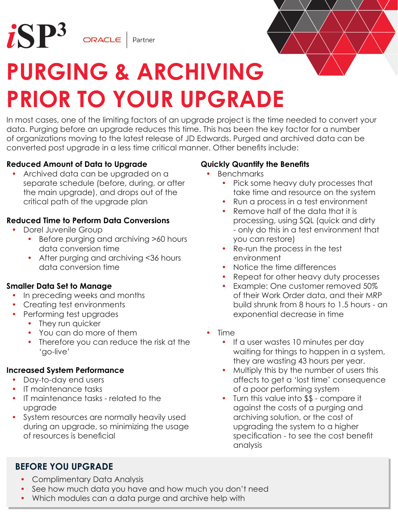



## **PURGING & ARCHIVING PRIOR TO YOUR UPGRADE**

In most cases, one of the limiting factors of an upgrade project is the time needed to convert your data. Purging before an upgrade reduces this time. This has been the key factor for a number of organizations moving to the latest release of JD Edwards. Purged and archived data can be converted post upgrade in a less time critical manner. Other benefits include:

#### **Reduced Amount of Data to Upgrade**

• Archived data can be upgraded on a separate schedule (before, during, or after the main upgrade), and drops out of the critical path of the upgrade plan

#### **Reduced Time to Perform Data Conversions**

- Dorel Juvenile Group
	- Before purging and archiving >60 hours data conversion time
	- After purging and archiving <36 hours data conversion time

#### **Smaller Data Set to Manage**

- In preceding weeks and months
- Creating test environments
- Performing test upgrades
	- They run quicker
	- You can do more of them
	- Therefore you can reduce the risk at the 'go-live'

#### **Increased System Performance**

- Day-to-day end users
- IT maintenance tasks
- • IT maintenance tasks related to the upgrade
- • System resources are normally heavily used during an upgrade, so minimizing the usage of resources is beneficial

#### **Quickly Quantify the Benefits**

- **Benchmarks** 
	- Pick some heavy duty processes that take time and resource on the system
	- Run a process in a test environment
	- Remove half of the data that it is processing, using SQL (quick and dirty - only do this in a test environment that you can restore)
	- Re-run the process in the test environment
	- Notice the time differences
	- Repeat for other heavy duty processes
	- Example: One customer removed 50% of their Work Order data, and their MRP build shrunk from 8 hours to 1.5 hours - an exponential decrease in time
- **Time** 
	- If a user wastes 10 minutes per day waiting for things to happen in a system, they are wasting 43 hours per year.
	- Multiply this by the number of users this affects to get a 'lost time' consequence of a poor performing system
	- Turn this value into \$\$ compare it against the costs of a purging and archiving solution, or the cost of upgrading the system to a higher specification - to see the cost benefit analysis

### **BEFORE YOU UPGRADE**

- Complimentary Data Analysis
- See how much data you have and how much you don't need
- Which modules can a data purge and archive help with